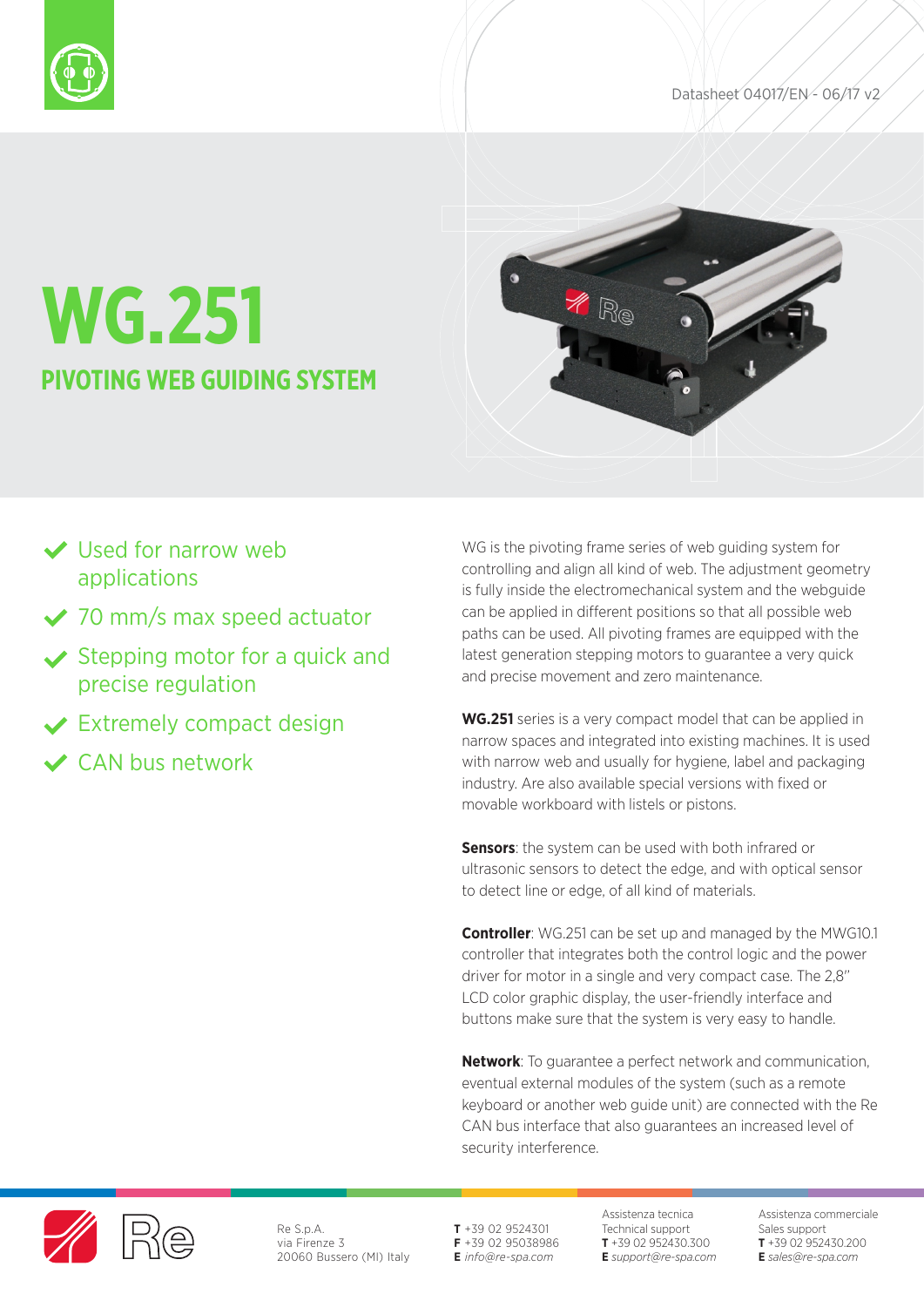



# **WG.251 PIVOTING WEB GUIDING SYSTEM**

# Used for narrow web applications

- ◆ 70 mm/s max speed actuator
- $\vee$  Stepping motor for a quick and precise regulation
- **◆ Extremely compact design**
- CAN bus network

WG is the pivoting frame series of web guiding system for controlling and align all kind of web. The adjustment geometry is fully inside the electromechanical system and the webguide can be applied in different positions so that all possible web paths can be used. All pivoting frames are equipped with the latest generation stepping motors to guarantee a very quick and precise movement and zero maintenance.

**WG.251** series is a very compact model that can be applied in narrow spaces and integrated into existing machines. It is used with narrow web and usually for hygiene, label and packaging industry. Are also available special versions with fixed or movable workboard with listels or pistons.

**Sensors:** the system can be used with both infrared or ultrasonic sensors to detect the edge, and with optical sensor to detect line or edge, of all kind of materials.

**Controller**: WG.251 can be set up and managed by the MWG10.1 controller that integrates both the control logic and the power driver for motor in a single and very compact case. The 2,8' LCD color graphic display, the user-friendly interface and buttons make sure that the system is very easy to handle.

**Network**: To guarantee a perfect network and communication, eventual external modules of the system (such as a remote keyboard or another web guide unit) are connected with the Re CAN bus interface that also guarantees an increased level of security interference.



Re S.p.A. via Firenze 3 20060 Bussero (MI) Italy **T** +39 02 9524301 **F** +39 02 95038986 **E** *info@re-spa.com*

Assistenza tecnica Technical support **T** +39 02 952430.300 **E** *support@re-spa.com* Assistenza commerciale Sales support **T** +39 02 952430.200 **E** *sales@re-spa.com*